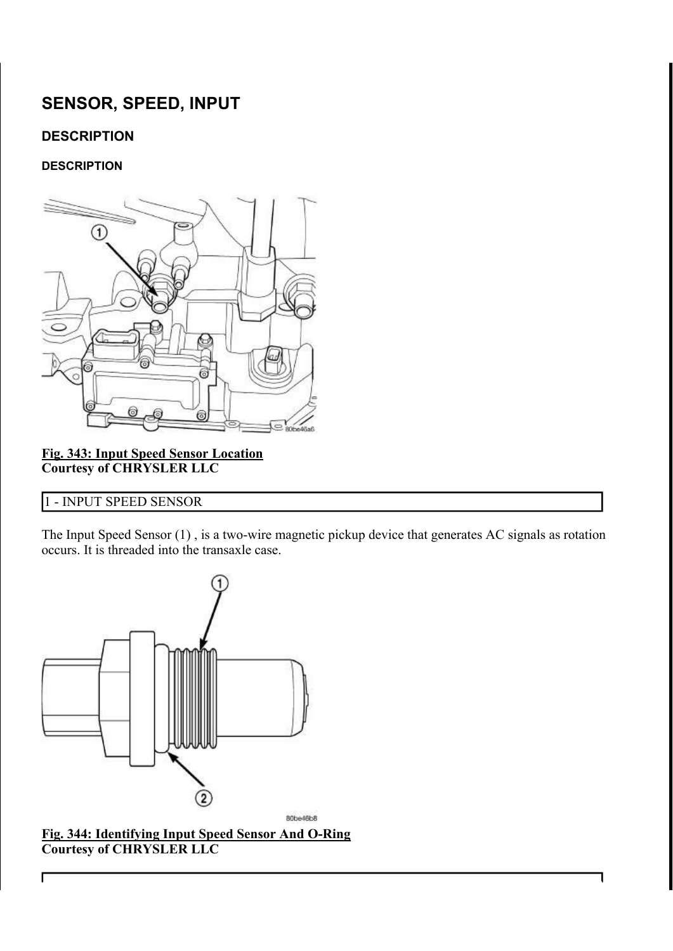# SENSOR, SPEED, INPUT

# **DESCRIPTION**

#### **DESCRIPTION**



Fig. 343: Input Speed Sensor Location Courtesy of CHRYSLER LLC

## 1 - INPUT SPEED SENSOR

Г

The Input Speed Sensor (1) , is a two-wire magnetic pickup device that generates AC signals as rotation occurs. It is threaded into the transaxle case.



Fig. 344: Identifying Input Speed Sensor And O-Ring Courtesy of CHRYSLER LLC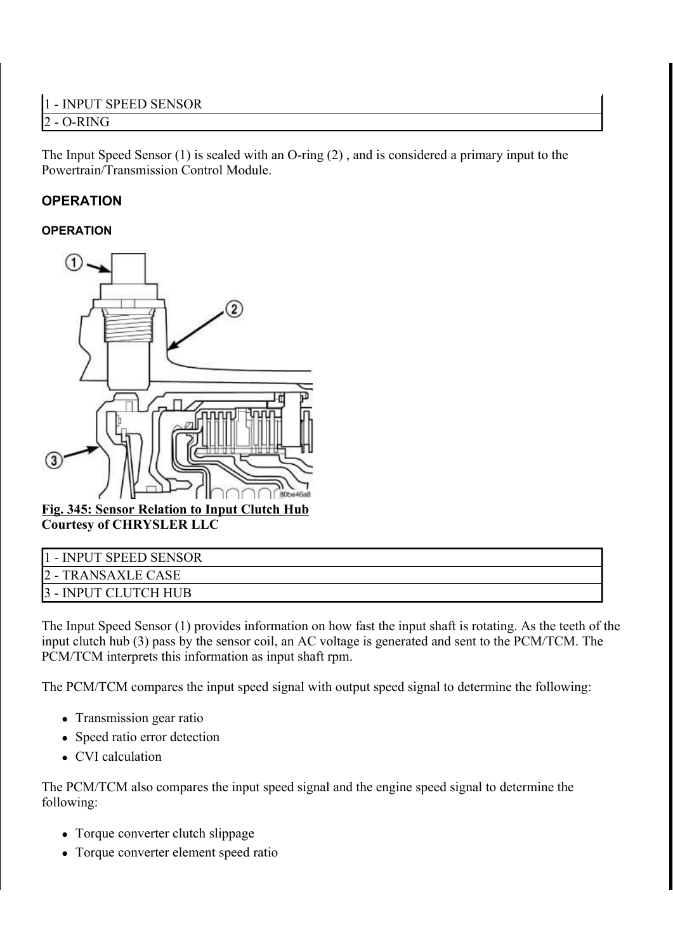The Input Speed Sensor (1) is sealed with an O-ring (2) , and is considered a primary input to the Powertrain/Transmission Control Module.

# **OPERATION**

### **OPERATION**



Fig. 345: Sensor Relation to Input Clutch Hub Courtesy of CHRYSLER LLC

| 1 - INPUT SPEED SENSOR |
|------------------------|
| 2 - TRANSAXLE CASE     |
| 3 - INPUT CLUTCH HUB   |

The Input Speed Sensor (1) provides information on how fast the input shaft is rotating. As the teeth of the input clutch hub (3) pass by the sensor coil, an AC voltage is generated and sent to the PCM/TCM. The PCM/TCM interprets this information as input shaft rpm.

The PCM/TCM compares the input speed signal with output speed signal to determine the following:

- Transmission gear ratio
- Speed ratio error detection
- CVI calculation

The PCM/TCM also compares the input speed signal and the engine speed signal to determine the following:

- Torque converter clutch slippage
- Torque converter element speed ratio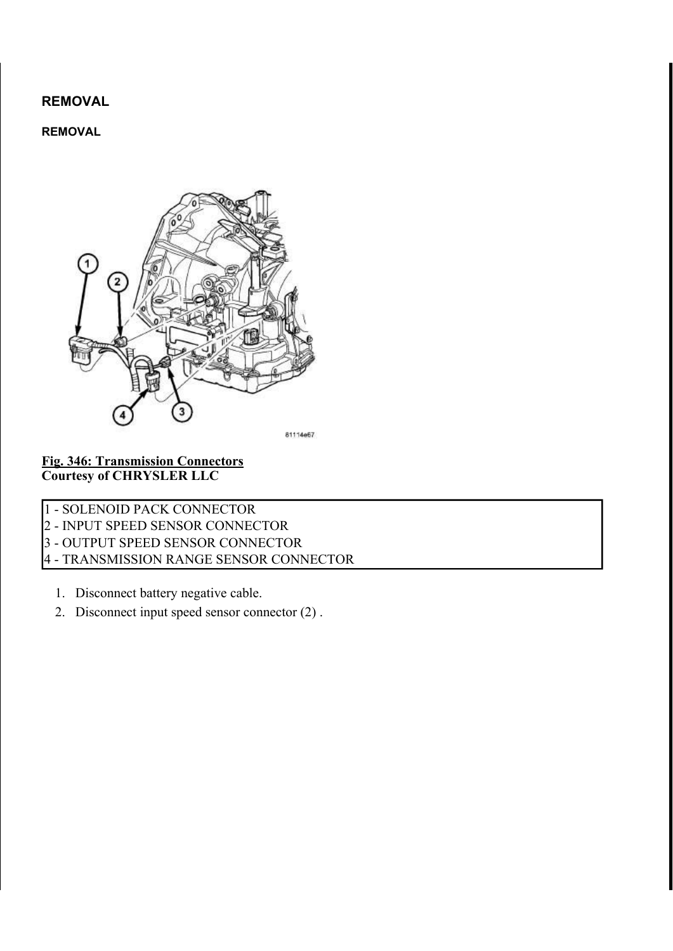REMOVAL

#### REMOVAL



#### Fig. 346: Transmission Connectors Courtesy of CHRYSLER LLC

1 - SOLENOID PACK CONNECTOR

2 - INPUT SPEED SENSOR CONNECTOR

3 - OUTPUT SPEED SENSOR CONNECTOR

4 - TRANSMISSION RANGE SENSOR CONNECTOR

- 1. Disconnect battery negative cable.
- 2. Disconnect input speed sensor connector (2) .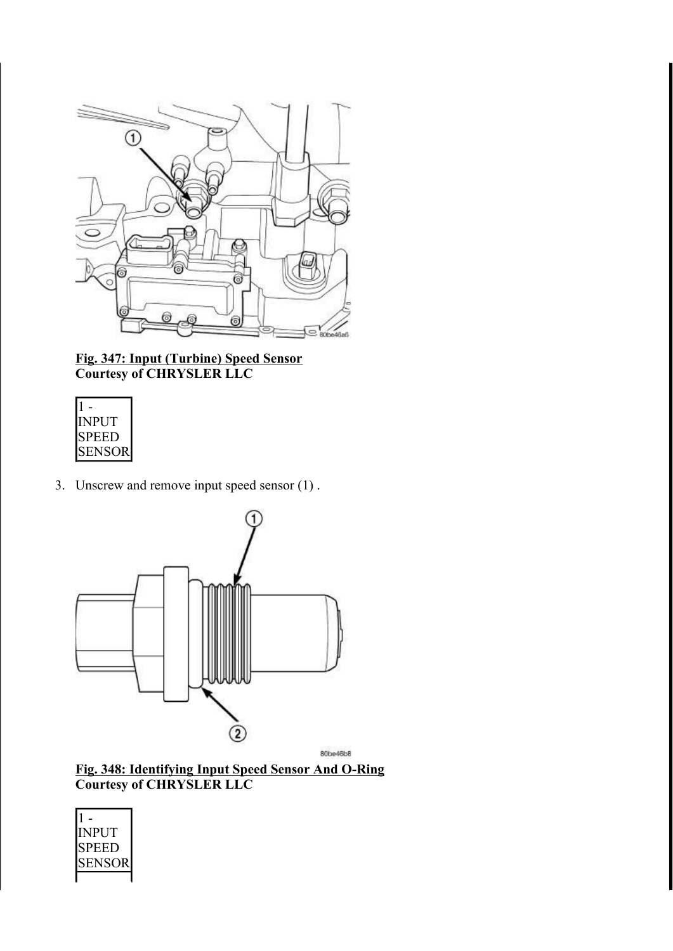

Fig. 347: Input (Turbine) Speed Sensor Courtesy of CHRYSLER LLC

| <b>INPUT</b>  |
|---------------|
| <b>SPEED</b>  |
| <b>SENSOR</b> |

3. Unscrew and remove input speed sensor (1) .



Fig. 348: Identifying Input Speed Sensor And O-Ring Courtesy of CHRYSLER LLC

| NPUT  |
|-------|
| SPEEL |
| SENSC |
|       |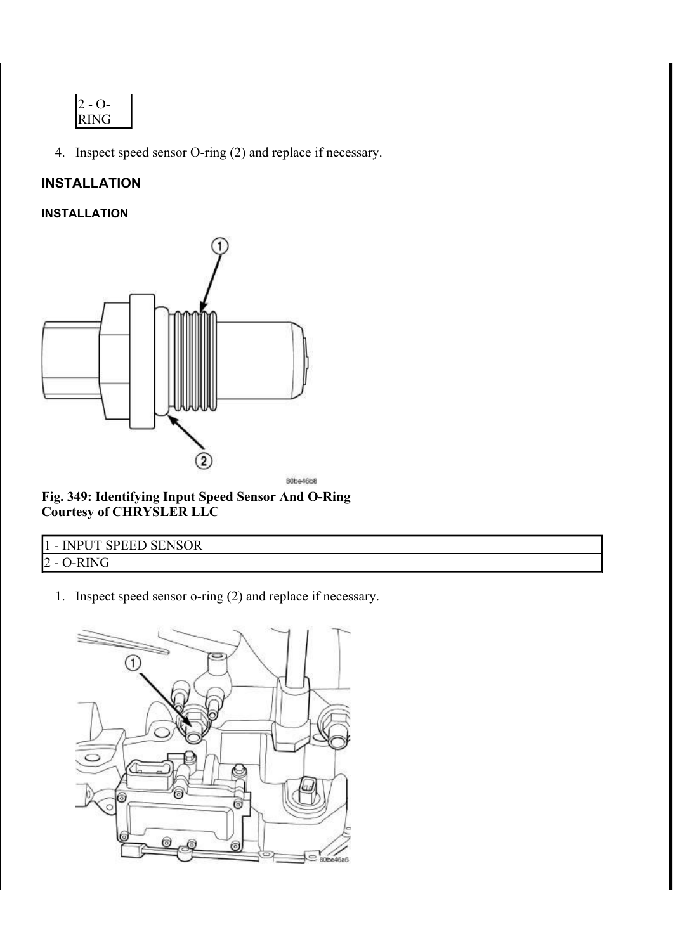

4. Inspect speed sensor O-ring (2) and replace if necessary.

# INSTALLATION

#### INSTALLATION



Fig. 349: Identifying Input Speed Sensor And O-Ring Courtesy of CHRYSLER LLC

| 1 - INPUT SPEED SENSOR |  |
|------------------------|--|
| $2 - O-RING$           |  |

1. Inspect speed sensor o-ring (2) and replace if necessary.